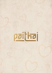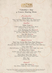

# Valentine's Day 4 Course Sharing Menu

# *Pre-Starter*

Miang Kham o o *Royal Leaf Wrap, Ginger, Cashew Nut, Dried Coconut, Lime, Red Onion, Green Mango, Thai Chilli Sauce*

# *Starter*

Talay Yang o *Grilled Seafood Satay, Prawn, Scallop, Mussel, Lemongrass Skewer, Thai Sauce* 

Yam Mamuang Poo Nim *Green Mango Salad, Deep-Fried Soft-Shell Crab, Red Onion, Chili, Thai Lemon Dressing*

> Pan Sib Thod ..  *Deep Fried Chicken Dumpling, Peanut, Coriander, Onion, Garlic, Soy Sauce*

## *Main Course*

Tom Yam Goong Mae Nam Phad Heang ... *Stir Fried Spicy Scampi, Lemongrass, Kaffir Lime Leaves, Mushroom, Baby Corn, Evaporated Milk, Coconut Shoot, Thai Chilli Sauce*

Choo Chee Pla . *Pan Grill Seabass, Creamy Red Curry Sauce, Kaffir Lime Leaves*

Sri Klong Neua Yang *Roasted Short Rib, Garlic, Pepper, Oyster Sauce, Honey, Coriander, Spring Onion, Sesame Seed*

 Phad Kana Nam Man Hoy *Wok Fried Thai Broccoli, Garlic, Oyster Sauce*

> Kho Soy *Steamed Rice*

# *Dessert*

Chán Rák Khun *Rose Mousse, Raspberry, Lemon Almond Biscuit*

Alcohol ®Nuts & Seeds ®Gluten free ⊗Vegetarian ODiabetic friendly ®Contains shellfish ®Vegan dish ®Dairy free ⊕Fish<br>Please inform us of any allergies or dietary requirements before ordering. All prices are in UAE Dirhams of  $7\degree$ / $\degree$  Municipality fees, 10 $\degree$ / $\degree$  service charge and Value Added Tax. Menu is not applicable with any other discount or promotion